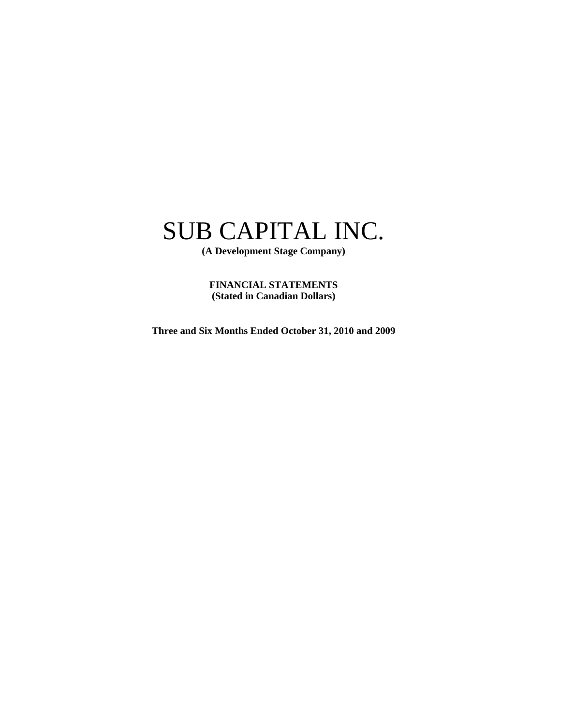# SUB CAPITAL INC.

**(A Development Stage Company)** 

**FINANCIAL STATEMENTS (Stated in Canadian Dollars)** 

**Three and Six Months Ended October 31, 2010 and 2009**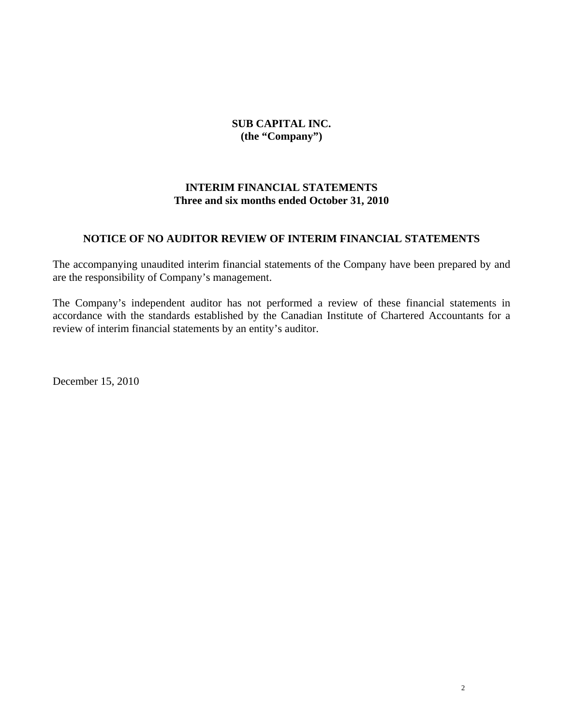**SUB CAPITAL INC. (the "Company")** 

### **INTERIM FINANCIAL STATEMENTS Three and six months ended October 31, 2010**

### **NOTICE OF NO AUDITOR REVIEW OF INTERIM FINANCIAL STATEMENTS**

The accompanying unaudited interim financial statements of the Company have been prepared by and are the responsibility of Company's management.

The Company's independent auditor has not performed a review of these financial statements in accordance with the standards established by the Canadian Institute of Chartered Accountants for a review of interim financial statements by an entity's auditor.

December 15, 2010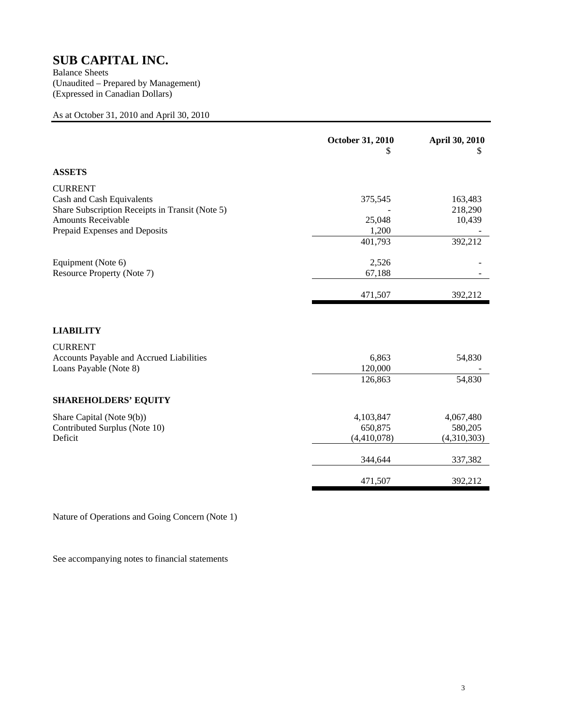# **SUB CAPITAL INC.**<br>Balance Sheets

(Unaudited – Prepared by Management) (Expressed in Canadian Dollars)

As at October 31, 2010 and April 30, 2010

|                                                                                                               | October 31, 2010<br>S               | April 30, 2010<br>Ж                 |
|---------------------------------------------------------------------------------------------------------------|-------------------------------------|-------------------------------------|
| <b>ASSETS</b>                                                                                                 |                                     |                                     |
| <b>CURRENT</b><br>Cash and Cash Equivalents                                                                   | 375,545                             | 163,483                             |
| Share Subscription Receipts in Transit (Note 5)<br><b>Amounts Receivable</b><br>Prepaid Expenses and Deposits | 25,048<br>1,200                     | 218,290<br>10,439                   |
|                                                                                                               | 401,793                             | 392,212                             |
| Equipment (Note 6)<br>Resource Property (Note 7)                                                              | 2,526<br>67,188                     |                                     |
|                                                                                                               | 471,507                             | 392,212                             |
| <b>LIABILITY</b>                                                                                              |                                     |                                     |
| <b>CURRENT</b><br>Accounts Payable and Accrued Liabilities<br>Loans Payable (Note 8)                          | 6,863<br>120,000<br>126,863         | 54,830<br>54,830                    |
|                                                                                                               |                                     |                                     |
| <b>SHAREHOLDERS' EQUITY</b>                                                                                   |                                     |                                     |
| Share Capital (Note 9(b))<br>Contributed Surplus (Note 10)<br>Deficit                                         | 4,103,847<br>650,875<br>(4,410,078) | 4,067,480<br>580,205<br>(4,310,303) |
|                                                                                                               | 344,644                             | 337,382                             |
|                                                                                                               | 471,507                             | 392,212                             |

Nature of Operations and Going Concern (Note 1)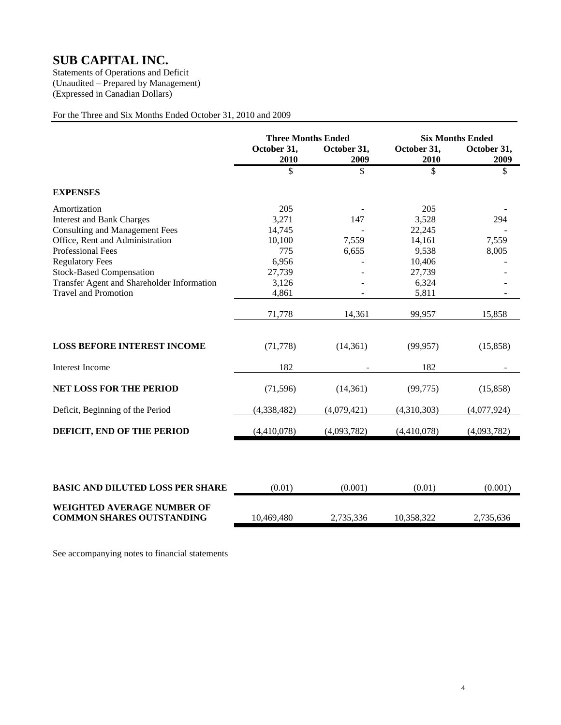# **SUB CAPITAL INC.**<br>Statements of Operations and Deficit

(Unaudited – Prepared by Management) (Expressed in Canadian Dollars)

### For the Three and Six Months Ended October 31, 2010 and 2009

|                                                                       | <b>Three Months Ended</b> |                     | <b>Six Months Ended</b> |                     |
|-----------------------------------------------------------------------|---------------------------|---------------------|-------------------------|---------------------|
|                                                                       | October 31,<br>2010       | October 31,<br>2009 | October 31,<br>2010     | October 31,<br>2009 |
|                                                                       | \$                        | \$                  | \$                      | \$                  |
| <b>EXPENSES</b>                                                       |                           |                     |                         |                     |
| Amortization                                                          | 205                       |                     | 205                     |                     |
| <b>Interest and Bank Charges</b>                                      | 3,271                     | 147                 | 3,528                   | 294                 |
| <b>Consulting and Management Fees</b>                                 | 14,745                    |                     | 22,245                  |                     |
| Office, Rent and Administration                                       | 10,100                    | 7,559               | 14,161                  | 7,559               |
| <b>Professional Fees</b>                                              | 775                       | 6,655               | 9,538                   | 8,005               |
| <b>Regulatory Fees</b>                                                | 6,956                     |                     | 10,406                  |                     |
| <b>Stock-Based Compensation</b>                                       | 27,739                    |                     | 27,739                  |                     |
| Transfer Agent and Shareholder Information                            | 3,126                     |                     | 6,324                   |                     |
| <b>Travel and Promotion</b>                                           | 4,861                     |                     | 5,811                   |                     |
|                                                                       | 71,778                    | 14,361              | 99,957                  | 15,858              |
| <b>LOSS BEFORE INTEREST INCOME</b>                                    | (71, 778)                 | (14, 361)           | (99, 957)               | (15,858)            |
| <b>Interest Income</b>                                                | 182                       |                     | 182                     |                     |
| <b>NET LOSS FOR THE PERIOD</b>                                        | (71, 596)                 | (14, 361)           | (99, 775)               | (15,858)            |
| Deficit, Beginning of the Period                                      | (4,338,482)               | (4,079,421)         | (4,310,303)             | (4,077,924)         |
| DEFICIT, END OF THE PERIOD                                            | (4,410,078)               | (4,093,782)         | (4,410,078)             | (4,093,782)         |
|                                                                       |                           |                     |                         |                     |
| <b>BASIC AND DILUTED LOSS PER SHARE</b>                               | (0.01)                    | (0.001)             | (0.01)                  | (0.001)             |
| <b>WEIGHTED AVERAGE NUMBER OF</b><br><b>COMMON SHARES OUTSTANDING</b> | 10,469,480                | 2,735,336           | 10,358,322              | 2,735,636           |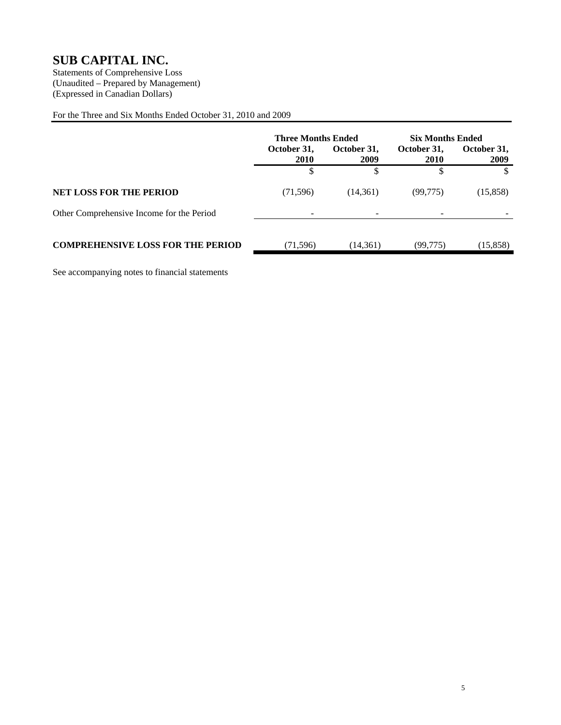### **SUB CAPITAL INC.**

Statements of Comprehensive Loss (Unaudited – Prepared by Management) (Expressed in Canadian Dollars)

For the Three and Six Months Ended October 31, 2010 and 2009

|                                           | <b>Three Months Ended</b>                  |           | <b>Six Months Ended</b> |           |  |  |  |  |  |  |  |  |                     |
|-------------------------------------------|--------------------------------------------|-----------|-------------------------|-----------|--|--|--|--|--|--|--|--|---------------------|
|                                           | October 31,<br>October 31.<br>2010<br>2009 |           | October 31,<br>2010     |           |  |  |  |  |  |  |  |  | October 31.<br>2009 |
|                                           | \$                                         |           |                         |           |  |  |  |  |  |  |  |  |                     |
| <b>NET LOSS FOR THE PERIOD</b>            | (71, 596)                                  | (14,361)  | (99, 775)               | (15,858)  |  |  |  |  |  |  |  |  |                     |
| Other Comprehensive Income for the Period | ۰                                          |           | -                       |           |  |  |  |  |  |  |  |  |                     |
| <b>COMPREHENSIVE LOSS FOR THE PERIOD</b>  | (71, 596)                                  | (14, 361) | (99,775)                | (15, 858) |  |  |  |  |  |  |  |  |                     |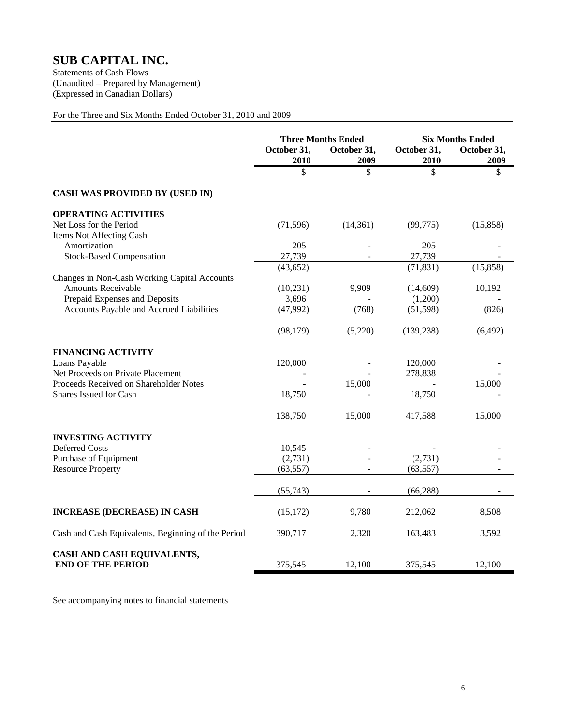### **SUB CAPITAL INC.**

Statements of Cash Flows (Unaudited – Prepared by Management) (Expressed in Canadian Dollars)

### For the Three and Six Months Ended October 31, 2010 and 2009

|                                                        | <b>Three Months Ended</b> |                     | <b>Six Months Ended</b> |                     |
|--------------------------------------------------------|---------------------------|---------------------|-------------------------|---------------------|
|                                                        | October 31,<br>2010       | October 31,<br>2009 | October 31,<br>2010     | October 31,<br>2009 |
|                                                        | \$                        | \$                  | \$                      | \$                  |
| <b>CASH WAS PROVIDED BY (USED IN)</b>                  |                           |                     |                         |                     |
| <b>OPERATING ACTIVITIES</b>                            |                           |                     |                         |                     |
| Net Loss for the Period                                | (71, 596)                 | (14, 361)           | (99, 775)               | (15, 858)           |
| Items Not Affecting Cash                               |                           |                     |                         |                     |
| Amortization                                           | 205                       |                     | 205                     |                     |
| <b>Stock-Based Compensation</b>                        | 27,739                    |                     | 27,739                  |                     |
|                                                        | (43, 652)                 |                     | (71, 831)               | (15, 858)           |
| Changes in Non-Cash Working Capital Accounts           |                           |                     |                         |                     |
| <b>Amounts Receivable</b>                              | (10, 231)                 | 9,909               | (14,609)                | 10,192              |
| Prepaid Expenses and Deposits                          | 3,696                     |                     | (1,200)                 |                     |
| Accounts Payable and Accrued Liabilities               | (47,992)                  | (768)               | (51, 598)               | (826)               |
|                                                        |                           |                     |                         |                     |
|                                                        | (98, 179)                 | (5,220)             | (139, 238)              | (6,492)             |
| <b>FINANCING ACTIVITY</b>                              |                           |                     |                         |                     |
| Loans Payable                                          | 120,000                   |                     | 120,000                 |                     |
| Net Proceeds on Private Placement                      |                           |                     | 278,838                 |                     |
| Proceeds Received on Shareholder Notes                 |                           | 15,000              |                         | 15,000              |
| Shares Issued for Cash                                 | 18,750                    |                     | 18,750                  |                     |
|                                                        |                           |                     |                         |                     |
|                                                        | 138,750                   | 15,000              | 417,588                 | 15,000              |
|                                                        |                           |                     |                         |                     |
| <b>INVESTING ACTIVITY</b><br><b>Deferred Costs</b>     | 10,545                    |                     |                         |                     |
| Purchase of Equipment                                  | (2,731)                   |                     | (2,731)                 |                     |
| <b>Resource Property</b>                               | (63, 557)                 |                     | (63, 557)               |                     |
|                                                        |                           |                     |                         |                     |
|                                                        | (55, 743)                 |                     | (66, 288)               |                     |
|                                                        |                           |                     |                         |                     |
| <b>INCREASE (DECREASE) IN CASH</b>                     | (15, 172)                 | 9,780               | 212,062                 | 8,508               |
| Cash and Cash Equivalents, Beginning of the Period     | 390,717                   | 2,320               | 163,483                 | 3,592               |
|                                                        |                           |                     |                         |                     |
| CASH AND CASH EQUIVALENTS,<br><b>END OF THE PERIOD</b> | 375,545                   | 12,100              | 375,545                 | 12,100              |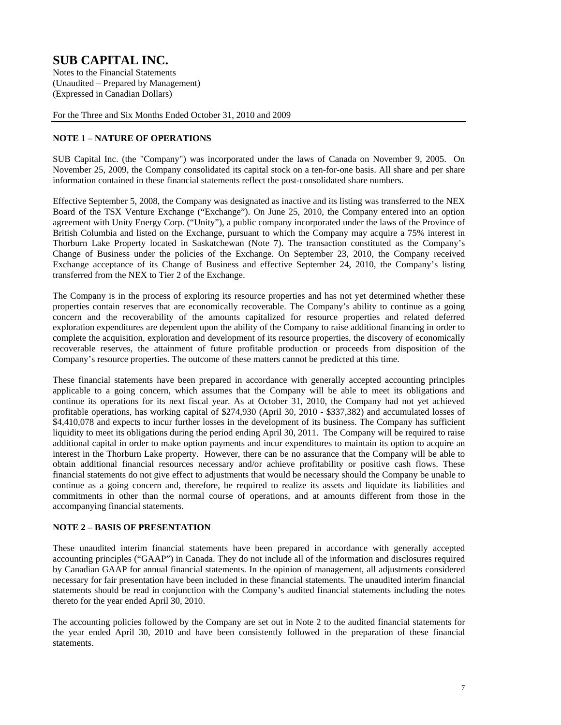(Unaudited – Prepared by Management) (Expressed in Canadian Dollars)

For the Three and Six Months Ended October 31, 2010 and 2009

### **NOTE 1 – NATURE OF OPERATIONS**

SUB Capital Inc. (the "Company") was incorporated under the laws of Canada on November 9, 2005. On November 25, 2009, the Company consolidated its capital stock on a ten-for-one basis. All share and per share information contained in these financial statements reflect the post-consolidated share numbers.

Effective September 5, 2008, the Company was designated as inactive and its listing was transferred to the NEX Board of the TSX Venture Exchange ("Exchange"). On June 25, 2010, the Company entered into an option agreement with Unity Energy Corp. ("Unity"), a public company incorporated under the laws of the Province of British Columbia and listed on the Exchange, pursuant to which the Company may acquire a 75% interest in Thorburn Lake Property located in Saskatchewan (Note 7). The transaction constituted as the Company's Change of Business under the policies of the Exchange. On September 23, 2010, the Company received Exchange acceptance of its Change of Business and effective September 24, 2010, the Company's listing transferred from the NEX to Tier 2 of the Exchange.

The Company is in the process of exploring its resource properties and has not yet determined whether these properties contain reserves that are economically recoverable. The Company's ability to continue as a going concern and the recoverability of the amounts capitalized for resource properties and related deferred exploration expenditures are dependent upon the ability of the Company to raise additional financing in order to complete the acquisition, exploration and development of its resource properties, the discovery of economically recoverable reserves, the attainment of future profitable production or proceeds from disposition of the Company's resource properties. The outcome of these matters cannot be predicted at this time.

These financial statements have been prepared in accordance with generally accepted accounting principles applicable to a going concern, which assumes that the Company will be able to meet its obligations and continue its operations for its next fiscal year. As at October 31, 2010, the Company had not yet achieved profitable operations, has working capital of \$274,930 (April 30, 2010 - \$337,382) and accumulated losses of \$4,410,078 and expects to incur further losses in the development of its business. The Company has sufficient liquidity to meet its obligations during the period ending April 30, 2011. The Company will be required to raise additional capital in order to make option payments and incur expenditures to maintain its option to acquire an interest in the Thorburn Lake property. However, there can be no assurance that the Company will be able to obtain additional financial resources necessary and/or achieve profitability or positive cash flows. These financial statements do not give effect to adjustments that would be necessary should the Company be unable to continue as a going concern and, therefore, be required to realize its assets and liquidate its liabilities and commitments in other than the normal course of operations, and at amounts different from those in the accompanying financial statements.

### **NOTE 2 – BASIS OF PRESENTATION**

These unaudited interim financial statements have been prepared in accordance with generally accepted accounting principles ("GAAP") in Canada. They do not include all of the information and disclosures required by Canadian GAAP for annual financial statements. In the opinion of management, all adjustments considered necessary for fair presentation have been included in these financial statements. The unaudited interim financial statements should be read in conjunction with the Company's audited financial statements including the notes thereto for the year ended April 30, 2010.

The accounting policies followed by the Company are set out in Note 2 to the audited financial statements for the year ended April 30, 2010 and have been consistently followed in the preparation of these financial statements.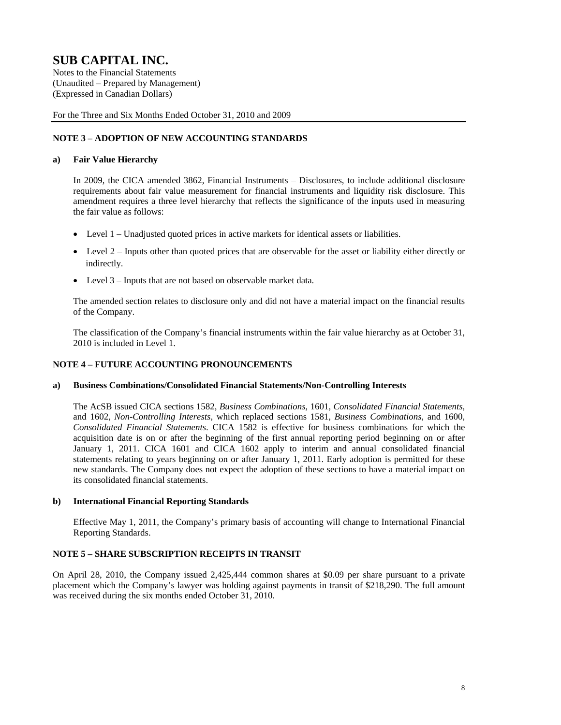(Unaudited – Prepared by Management) (Expressed in Canadian Dollars)

For the Three and Six Months Ended October 31, 2010 and 2009

### **NOTE 3 – ADOPTION OF NEW ACCOUNTING STANDARDS**

### **a) Fair Value Hierarchy**

In 2009, the CICA amended 3862, Financial Instruments – Disclosures, to include additional disclosure requirements about fair value measurement for financial instruments and liquidity risk disclosure. This amendment requires a three level hierarchy that reflects the significance of the inputs used in measuring the fair value as follows:

- Level 1 Unadjusted quoted prices in active markets for identical assets or liabilities.
- Level 2 Inputs other than quoted prices that are observable for the asset or liability either directly or indirectly.
- Level 3 Inputs that are not based on observable market data.

The amended section relates to disclosure only and did not have a material impact on the financial results of the Company.

The classification of the Company's financial instruments within the fair value hierarchy as at October 31, 2010 is included in Level 1.

### **NOTE 4 – FUTURE ACCOUNTING PRONOUNCEMENTS**

#### **a) Business Combinations/Consolidated Financial Statements/Non-Controlling Interests**

The AcSB issued CICA sections 1582, *Business Combinations*, 1601, *Consolidated Financial Statements*, and 1602, *Non-Controlling Interests*, which replaced sections 1581, *Business Combinations*, and 1600, *Consolidated Financial Statements*. CICA 1582 is effective for business combinations for which the acquisition date is on or after the beginning of the first annual reporting period beginning on or after January 1, 2011. CICA 1601 and CICA 1602 apply to interim and annual consolidated financial statements relating to years beginning on or after January 1, 2011. Early adoption is permitted for these new standards. The Company does not expect the adoption of these sections to have a material impact on its consolidated financial statements.

#### **b) International Financial Reporting Standards**

 Effective May 1, 2011, the Company's primary basis of accounting will change to International Financial Reporting Standards.

### **NOTE 5 – SHARE SUBSCRIPTION RECEIPTS IN TRANSIT**

On April 28, 2010, the Company issued 2,425,444 common shares at \$0.09 per share pursuant to a private placement which the Company's lawyer was holding against payments in transit of \$218,290. The full amount was received during the six months ended October 31, 2010.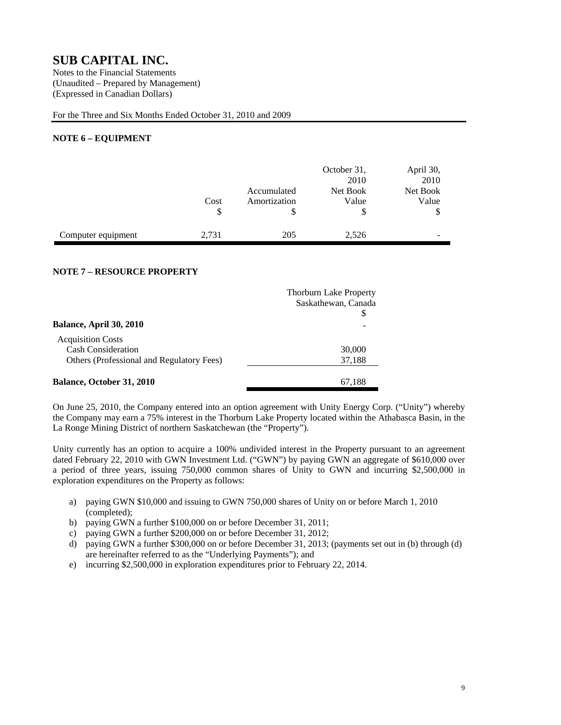(Unaudited – Prepared by Management) (Expressed in Canadian Dollars)

For the Three and Six Months Ended October 31, 2010 and 2009

### **NOTE 6 – EQUIPMENT**

|                    | Cost<br>\$ | Accumulated<br>Amortization | October 31,<br>2010<br>Net Book<br>Value<br>\$ | April 30,<br>2010<br>Net Book<br>Value<br>\$ |
|--------------------|------------|-----------------------------|------------------------------------------------|----------------------------------------------|
| Computer equipment | 2,731      | 205                         | 2,526                                          | -                                            |

### **NOTE 7 – RESOURCE PROPERTY**

|                                           | <b>Thorburn Lake Property</b> |
|-------------------------------------------|-------------------------------|
|                                           | Saskathewan, Canada           |
| <b>Balance, April 30, 2010</b>            |                               |
| <b>Acquisition Costs</b>                  |                               |
| <b>Cash Consideration</b>                 | 30,000                        |
| Others (Professional and Regulatory Fees) | 37,188                        |
| <b>Balance, October 31, 2010</b>          | 67,188                        |

On June 25, 2010, the Company entered into an option agreement with Unity Energy Corp. ("Unity") whereby the Company may earn a 75% interest in the Thorburn Lake Property located within the Athabasca Basin, in the La Ronge Mining District of northern Saskatchewan (the "Property").

Unity currently has an option to acquire a 100% undivided interest in the Property pursuant to an agreement dated February 22, 2010 with GWN Investment Ltd. ("GWN") by paying GWN an aggregate of \$610,000 over a period of three years, issuing 750,000 common shares of Unity to GWN and incurring \$2,500,000 in exploration expenditures on the Property as follows:

- a) paying GWN \$10,000 and issuing to GWN 750,000 shares of Unity on or before March 1, 2010 (completed);
- b) paying GWN a further \$100,000 on or before December 31, 2011;
- c) paying GWN a further \$200,000 on or before December 31, 2012;
- d) paying GWN a further \$300,000 on or before December 31, 2013; (payments set out in (b) through (d) are hereinafter referred to as the "Underlying Payments"); and
- e) incurring \$2,500,000 in exploration expenditures prior to February 22, 2014.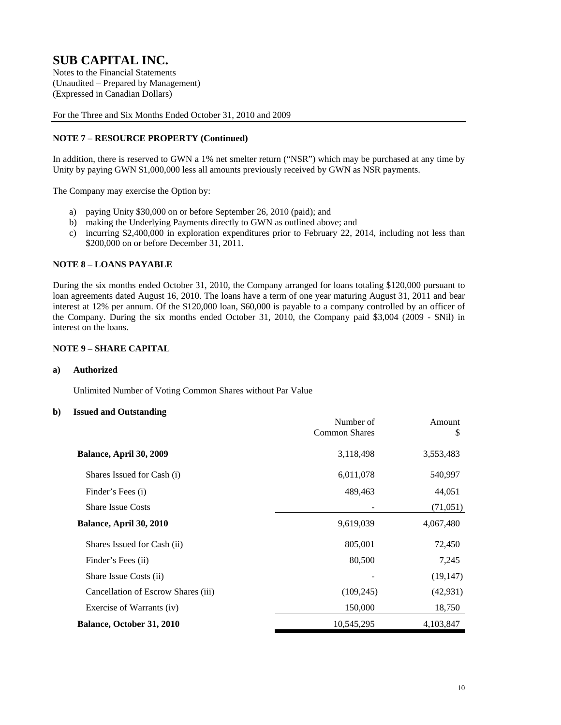(Unaudited – Prepared by Management) (Expressed in Canadian Dollars)

For the Three and Six Months Ended October 31, 2010 and 2009

### **NOTE 7 – RESOURCE PROPERTY (Continued)**

In addition, there is reserved to GWN a 1% net smelter return ("NSR") which may be purchased at any time by Unity by paying GWN \$1,000,000 less all amounts previously received by GWN as NSR payments.

The Company may exercise the Option by:

- a) paying Unity \$30,000 on or before September 26, 2010 (paid); and
- b) making the Underlying Payments directly to GWN as outlined above; and
- c) incurring \$2,400,000 in exploration expenditures prior to February 22, 2014, including not less than \$200,000 on or before December 31, 2011.

### **NOTE 8 – LOANS PAYABLE**

During the six months ended October 31, 2010, the Company arranged for loans totaling \$120,000 pursuant to loan agreements dated August 16, 2010. The loans have a term of one year maturing August 31, 2011 and bear interest at 12% per annum. Of the \$120,000 loan, \$60,000 is payable to a company controlled by an officer of the Company. During the six months ended October 31, 2010, the Company paid \$3,004 (2009 - \$Nil) in interest on the loans.

### **NOTE 9 – SHARE CAPITAL**

#### **a) Authorized**

Unlimited Number of Voting Common Shares without Par Value

#### **b) Issued and Outstanding**

|                                     | Number of<br><b>Common Shares</b> | Amount<br>S |
|-------------------------------------|-----------------------------------|-------------|
| Balance, April 30, 2009             | 3,118,498                         | 3,553,483   |
| Shares Issued for Cash (i)          | 6,011,078                         | 540,997     |
| Finder's Fees (i)                   | 489,463                           | 44,051      |
| <b>Share Issue Costs</b>            |                                   | (71, 051)   |
| Balance, April 30, 2010             | 9,619,039                         | 4,067,480   |
| Shares Issued for Cash (ii)         | 805,001                           | 72,450      |
| Finder's Fees (ii)                  | 80,500                            | 7,245       |
| Share Issue Costs (ii)              |                                   | (19, 147)   |
| Cancellation of Escrow Shares (iii) | (109, 245)                        | (42, 931)   |
| Exercise of Warrants (iv)           | 150,000                           | 18,750      |
| Balance, October 31, 2010           | 10,545,295                        | 4,103,847   |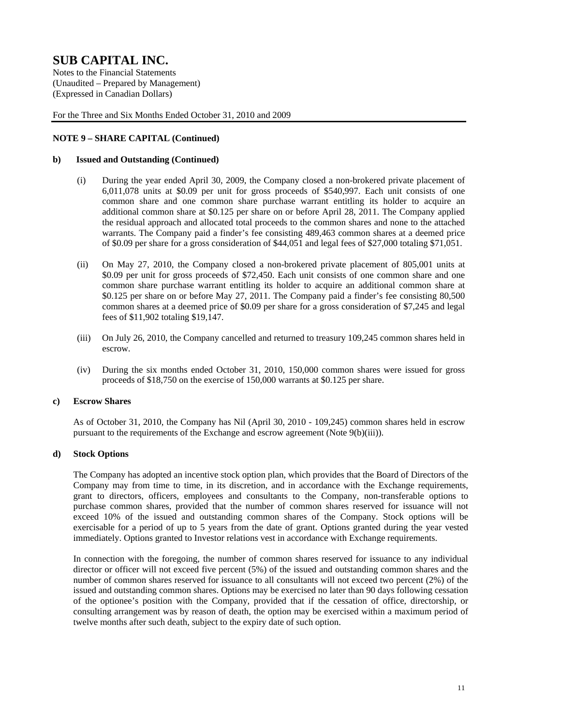(Unaudited – Prepared by Management) (Expressed in Canadian Dollars)

For the Three and Six Months Ended October 31, 2010 and 2009

### **NOTE 9 – SHARE CAPITAL (Continued)**

#### **b) Issued and Outstanding (Continued)**

- (i) During the year ended April 30, 2009, the Company closed a non-brokered private placement of 6,011,078 units at \$0.09 per unit for gross proceeds of \$540,997. Each unit consists of one common share and one common share purchase warrant entitling its holder to acquire an additional common share at \$0.125 per share on or before April 28, 2011. The Company applied the residual approach and allocated total proceeds to the common shares and none to the attached warrants. The Company paid a finder's fee consisting 489,463 common shares at a deemed price of \$0.09 per share for a gross consideration of \$44,051 and legal fees of \$27,000 totaling \$71,051.
- (ii) On May 27, 2010, the Company closed a non-brokered private placement of 805,001 units at \$0.09 per unit for gross proceeds of \$72,450. Each unit consists of one common share and one common share purchase warrant entitling its holder to acquire an additional common share at \$0.125 per share on or before May 27, 2011. The Company paid a finder's fee consisting 80,500 common shares at a deemed price of \$0.09 per share for a gross consideration of \$7,245 and legal fees of \$11,902 totaling \$19,147.
- (iii) On July 26, 2010, the Company cancelled and returned to treasury 109,245 common shares held in escrow.
- (iv) During the six months ended October 31, 2010, 150,000 common shares were issued for gross proceeds of \$18,750 on the exercise of 150,000 warrants at \$0.125 per share.

#### **c) Escrow Shares**

As of October 31, 2010, the Company has Nil (April 30, 2010 - 109,245) common shares held in escrow pursuant to the requirements of the Exchange and escrow agreement (Note 9(b)(iii)).

#### **d) Stock Options**

The Company has adopted an incentive stock option plan, which provides that the Board of Directors of the Company may from time to time, in its discretion, and in accordance with the Exchange requirements, grant to directors, officers, employees and consultants to the Company, non-transferable options to purchase common shares, provided that the number of common shares reserved for issuance will not exceed 10% of the issued and outstanding common shares of the Company. Stock options will be exercisable for a period of up to 5 years from the date of grant. Options granted during the year vested immediately. Options granted to Investor relations vest in accordance with Exchange requirements.

In connection with the foregoing, the number of common shares reserved for issuance to any individual director or officer will not exceed five percent (5%) of the issued and outstanding common shares and the number of common shares reserved for issuance to all consultants will not exceed two percent (2%) of the issued and outstanding common shares. Options may be exercised no later than 90 days following cessation of the optionee's position with the Company, provided that if the cessation of office, directorship, or consulting arrangement was by reason of death, the option may be exercised within a maximum period of twelve months after such death, subject to the expiry date of such option.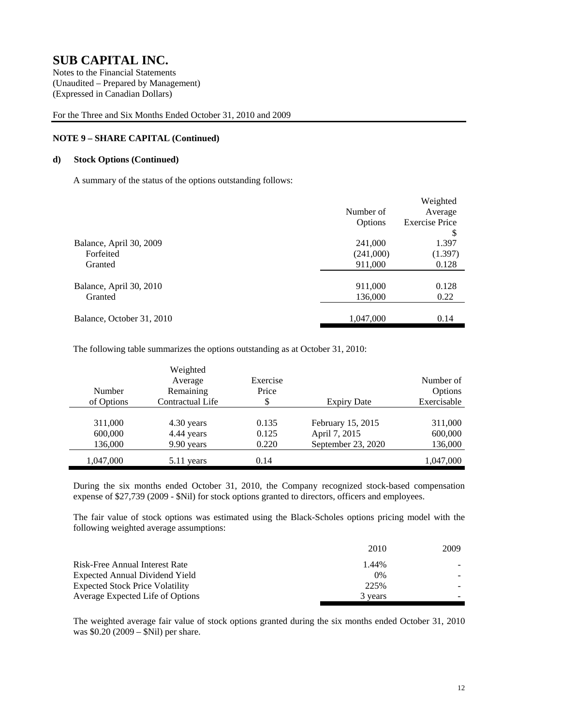(Unaudited – Prepared by Management) (Expressed in Canadian Dollars)

For the Three and Six Months Ended October 31, 2010 and 2009

### **NOTE 9 – SHARE CAPITAL (Continued)**

### **d) Stock Options (Continued)**

A summary of the status of the options outstanding follows:

|                           |           | Weighted              |
|---------------------------|-----------|-----------------------|
|                           | Number of | Average               |
|                           | Options   | <b>Exercise Price</b> |
|                           |           | \$                    |
| Balance, April 30, 2009   | 241,000   | 1.397                 |
| Forfeited                 | (241,000) | (1.397)               |
| Granted                   | 911,000   | 0.128                 |
|                           |           |                       |
| Balance, April 30, 2010   | 911,000   | 0.128                 |
| Granted                   | 136,000   | 0.22                  |
|                           |           |                       |
| Balance, October 31, 2010 | 1,047,000 | 0.14                  |

The following table summarizes the options outstanding as at October 31, 2010:

|            | Weighted         |          |                    |             |
|------------|------------------|----------|--------------------|-------------|
|            | Average          | Exercise |                    | Number of   |
| Number     | Remaining        | Price    |                    | Options     |
| of Options | Contractual Life | \$       | <b>Expiry Date</b> | Exercisable |
|            |                  |          |                    |             |
| 311,000    | 4.30 years       | 0.135    | February 15, 2015  | 311,000     |
| 600,000    | 4.44 years       | 0.125    | April 7, 2015      | 600,000     |
| 136,000    | 9.90 years       | 0.220    | September 23, 2020 | 136,000     |
| 1,047,000  | 5.11 years       | 0.14     |                    | 1,047,000   |

During the six months ended October 31, 2010, the Company recognized stock-based compensation expense of \$27,739 (2009 - \$Nil) for stock options granted to directors, officers and employees.

The fair value of stock options was estimated using the Black-Scholes options pricing model with the following weighted average assumptions:

|                                        | 2010    | 2009 |
|----------------------------------------|---------|------|
| Risk-Free Annual Interest Rate         | 1.44%   |      |
| Expected Annual Dividend Yield         | $0\%$   |      |
| <b>Expected Stock Price Volatility</b> | 225%    |      |
| Average Expected Life of Options       | 3 years |      |

The weighted average fair value of stock options granted during the six months ended October 31, 2010 was \$0.20 (2009 – \$Nil) per share.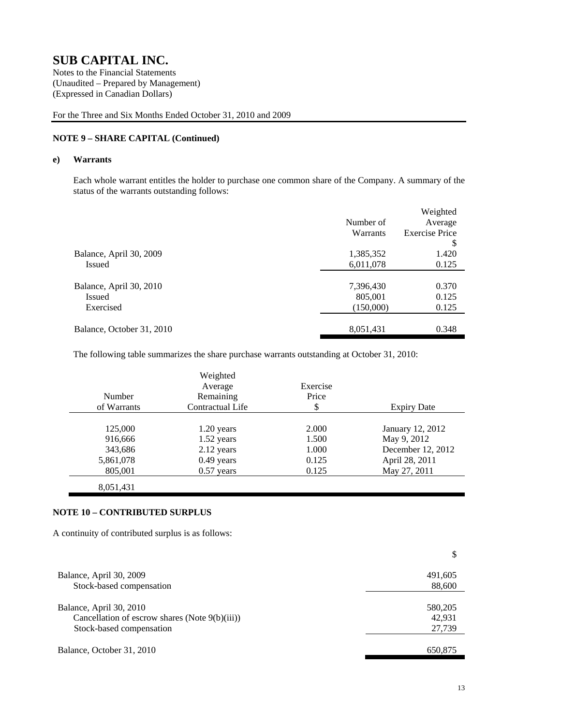(Unaudited – Prepared by Management) (Expressed in Canadian Dollars)

For the Three and Six Months Ended October 31, 2010 and 2009

### **NOTE 9 – SHARE CAPITAL (Continued)**

#### **e) Warrants**

Each whole warrant entitles the holder to purchase one common share of the Company. A summary of the status of the warrants outstanding follows:

|                           |           | Weighted              |
|---------------------------|-----------|-----------------------|
|                           | Number of | Average               |
|                           | Warrants  | <b>Exercise Price</b> |
|                           |           | \$                    |
| Balance, April 30, 2009   | 1,385,352 | 1.420                 |
| Issued                    | 6,011,078 | 0.125                 |
|                           |           |                       |
| Balance, April 30, 2010   | 7,396,430 | 0.370                 |
| Issued                    | 805,001   | 0.125                 |
| Exercised                 | (150,000) | 0.125                 |
|                           |           |                       |
| Balance, October 31, 2010 | 8,051,431 | 0.348                 |
|                           |           |                       |

The following table summarizes the share purchase warrants outstanding at October 31, 2010:

|             | Weighted         |          |                    |
|-------------|------------------|----------|--------------------|
|             | Average          | Exercise |                    |
| Number      | Remaining        | Price    |                    |
| of Warrants | Contractual Life | \$       | <b>Expiry Date</b> |
|             |                  |          |                    |
| 125,000     | 1.20 years       | 2.000    | January 12, 2012   |
| 916,666     | $1.52$ years     | 1.500    | May 9, 2012        |
| 343,686     | 2.12 years       | 1.000    | December 12, 2012  |
| 5,861,078   | 0.49 years       | 0.125    | April 28, 2011     |
| 805,001     | $0.57$ years     | 0.125    | May 27, 2011       |
| 8,051,431   |                  |          |                    |

#### **NOTE 10 – CONTRIBUTED SURPLUS**

A continuity of contributed surplus is as follows:

| Balance, April 30, 2009                                                   | 491,605           |
|---------------------------------------------------------------------------|-------------------|
| Stock-based compensation                                                  | 88,600            |
| Balance, April 30, 2010<br>Cancellation of escrow shares (Note 9(b)(iii)) | 580,205<br>42.931 |
| Stock-based compensation                                                  | 27,739            |
| Balance, October 31, 2010                                                 | 650.875           |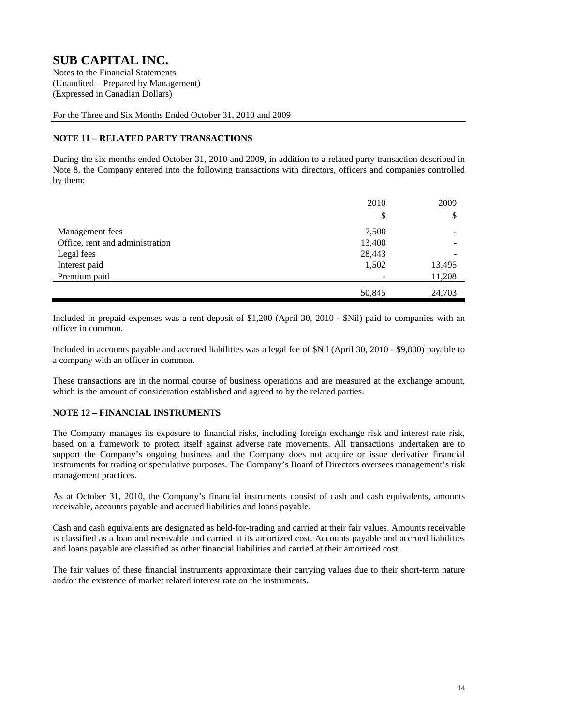(Unaudited – Prepared by Management) (Expressed in Canadian Dollars)

For the Three and Six Months Ended October 31, 2010 and 2009

### **NOTE 11 – RELATED PARTY TRANSACTIONS**

During the six months ended October 31, 2010 and 2009, in addition to a related party transaction described in Note 8, the Company entered into the following transactions with directors, officers and companies controlled by them:

|                                 | 2010   | 2009   |
|---------------------------------|--------|--------|
|                                 | \$     | \$     |
| Management fees                 | 7,500  |        |
| Office, rent and administration | 13,400 |        |
| Legal fees                      | 28,443 |        |
| Interest paid                   | 1,502  | 13,495 |
| Premium paid                    |        | 11,208 |
|                                 | 50,845 | 24,703 |

Included in prepaid expenses was a rent deposit of \$1,200 (April 30, 2010 - \$Nil) paid to companies with an officer in common.

Included in accounts payable and accrued liabilities was a legal fee of \$Nil (April 30, 2010 - \$9,800) payable to a company with an officer in common.

These transactions are in the normal course of business operations and are measured at the exchange amount, which is the amount of consideration established and agreed to by the related parties.

### **NOTE 12 – FINANCIAL INSTRUMENTS**

The Company manages its exposure to financial risks, including foreign exchange risk and interest rate risk, based on a framework to protect itself against adverse rate movements. All transactions undertaken are to support the Company's ongoing business and the Company does not acquire or issue derivative financial instruments for trading or speculative purposes. The Company's Board of Directors oversees management's risk management practices.

As at October 31, 2010, the Company's financial instruments consist of cash and cash equivalents, amounts receivable, accounts payable and accrued liabilities and loans payable.

Cash and cash equivalents are designated as held-for-trading and carried at their fair values. Amounts receivable is classified as a loan and receivable and carried at its amortized cost. Accounts payable and accrued liabilities and loans payable are classified as other financial liabilities and carried at their amortized cost.

The fair values of these financial instruments approximate their carrying values due to their short-term nature and/or the existence of market related interest rate on the instruments.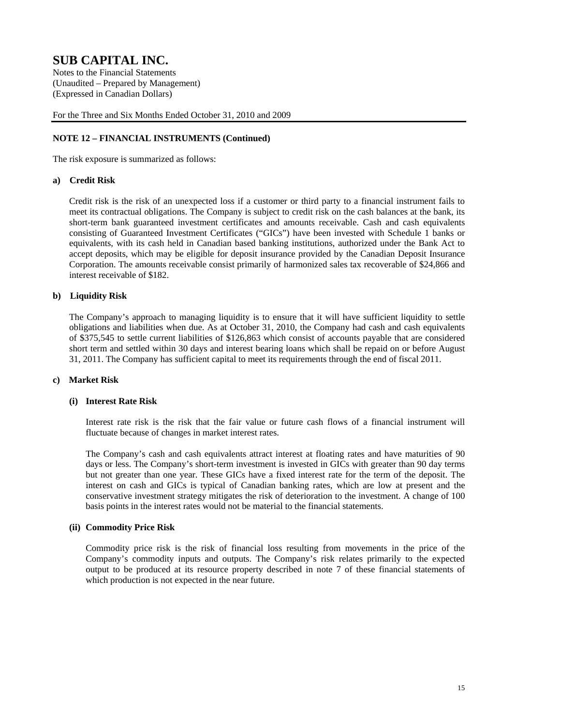(Unaudited – Prepared by Management) (Expressed in Canadian Dollars)

For the Three and Six Months Ended October 31, 2010 and 2009

### **NOTE 12 – FINANCIAL INSTRUMENTS (Continued)**

The risk exposure is summarized as follows:

### **a) Credit Risk**

Credit risk is the risk of an unexpected loss if a customer or third party to a financial instrument fails to meet its contractual obligations. The Company is subject to credit risk on the cash balances at the bank, its short-term bank guaranteed investment certificates and amounts receivable. Cash and cash equivalents consisting of Guaranteed Investment Certificates ("GICs") have been invested with Schedule 1 banks or equivalents, with its cash held in Canadian based banking institutions, authorized under the Bank Act to accept deposits, which may be eligible for deposit insurance provided by the Canadian Deposit Insurance Corporation. The amounts receivable consist primarily of harmonized sales tax recoverable of \$24,866 and interest receivable of \$182.

### **b) Liquidity Risk**

The Company's approach to managing liquidity is to ensure that it will have sufficient liquidity to settle obligations and liabilities when due. As at October 31, 2010, the Company had cash and cash equivalents of \$375,545 to settle current liabilities of \$126,863 which consist of accounts payable that are considered short term and settled within 30 days and interest bearing loans which shall be repaid on or before August 31, 2011. The Company has sufficient capital to meet its requirements through the end of fiscal 2011.

### **c) Market Risk**

#### **(i) Interest Rate Risk**

Interest rate risk is the risk that the fair value or future cash flows of a financial instrument will fluctuate because of changes in market interest rates.

The Company's cash and cash equivalents attract interest at floating rates and have maturities of 90 days or less. The Company's short-term investment is invested in GICs with greater than 90 day terms but not greater than one year. These GICs have a fixed interest rate for the term of the deposit. The interest on cash and GICs is typical of Canadian banking rates, which are low at present and the conservative investment strategy mitigates the risk of deterioration to the investment. A change of 100 basis points in the interest rates would not be material to the financial statements.

### **(ii) Commodity Price Risk**

Commodity price risk is the risk of financial loss resulting from movements in the price of the Company's commodity inputs and outputs. The Company's risk relates primarily to the expected output to be produced at its resource property described in note 7 of these financial statements of which production is not expected in the near future.